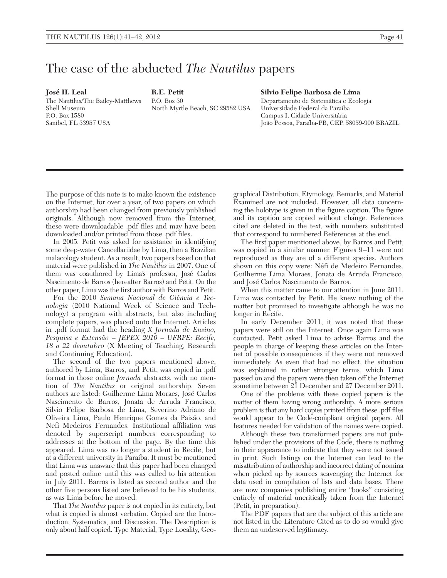## The case of the abducted *The Nautilus* papers

Jose´ H. Leal

The Nautilus/The Bailey-Matthews Shell Museum P.O. Box 1580 Sanibel, FL 33957 USA

R.E. Petit  $PO$ . Box 30 North Myrtle Beach, SC 29582 USA

## Silvio Felipe Barbosa de Lima

Departamento de Sistemática e Ecologia Universidade Federal da Paraı´ba Campus I, Cidade Universitária Joa˜o Pessoa, Paraı´ba-PB, CEP. 58059-900 BRAZIL

The purpose of this note is to make known the existence on the Internet, for over a year, of two papers on which authorship had been changed from previously published originals. Although now removed from the Internet, these were downloadable .pdf files and may have been downloaded and/or printed from those .pdf files.

In 2005, Petit was asked for assistance in identifying some deep-water Cancellariidae by Lima, then a Brazilian malacology student. As a result, two papers based on that material were published in *The Nautilus* in 2007. One of them was coauthored by Lima's professor, Jose´ Carlos Nascimento de Barros (hereafter Barros) and Petit. On the other paper, Lima was the first author with Barros and Petit.

For the 2010 Semana Nacional de Ciência e Tecnologia (2010 National Week of Science and Technology) a program with abstracts, but also including complete papers, was placed onto the Internet. Articles in .pdf format had the heading X Jornada de Ensino, Pesquisa e Extensão - JEPEX 2010 - UFRPE: Recife, 18 *a* 22 *deoutubro* (X Meeting of Teaching, Research and Continuing Education).

The second of the two papers mentioned above, authored by Lima, Barros, and Petit, was copied in .pdf format in those online *Jornada* abstracts, with no mention of The Nautilus or original authorship. Seven authors are listed: Guilherme Lima Moraes, Jose´ Carlos Nascimento de Barros, Jonata de Arruda Francisco, Silvio Felipe Barbosa de Lima, Severino Adriano de Oliveira Lima, Paulo Henrique Gomes da Paixa˜o, and Nefi Medeiros Fernandes. Institutional affiliation was denoted by superscript numbers corresponding to addresses at the bottom of the page. By the time this appeared, Lima was no longer a student in Recife, but at a different university in Paraiba. It must be mentioned that Lima was unaware that this paper had been changed and posted online until this was called to his attention in July 2011. Barros is listed as second author and the other five persons listed are believed to be his students, as was Lima before he moved.

That *The Nautilus* paper is not copied in its entirety, but what is copied is almost verbatim. Copied are the Introduction, Systematics, and Discussion. The Description is only about half copied. Type Material, Type Locality, Geo-

graphical Distribution, Etymology, Remarks, and Material Examined are not included. However, all data concerning the holotype is given in the figure caption. The figure and its caption are copied without change. References cited are deleted in the text, with numbers substituted that correspond to numbered References at the end.

The first paper mentioned above, by Barros and Petit, was copied in a similar manner. Figures 9–11 were not reproduced as they are of a different species. Authors shown on this copy were: Néfi de Medeiro Fernandes, Guilherme Lima Moraes, Jonata de Arruda Francisco, and Jose´ Carlos Nascimento de Barros.

When this matter came to our attention in June 2011, Lima was contacted by Petit. He knew nothing of the matter but promised to investigate although he was no longer in Recife.

In early December 2011, it was noted that these papers were still on the Internet. Once again Lima was contacted. Petit asked Lima to advise Barros and the people in charge of keeping these articles on the Internet of possible consequences if they were not removed immediately. As even that had no effect, the situation was explained in rather stronger terms, which Lima passed on and the papers were then taken off the Internet sometime between 21 December and 27 December 2011.

One of the problems with these copied papers is the matter of them having wrong authorship. A more serious problem is that any hard copies printed from these .pdf files would appear to be Code-compliant original papers. All features needed for validation of the names were copied.

Although these two transformed papers are not published under the provisions of the Code, there is nothing in their appearance to indicate that they were not issued in print. Such listings on the Internet can lead to the misattribution of authorship and incorrect dating of nomina when picked up by sources scavenging the Internet for data used in compilation of lists and data bases. There are now companies publishing entire "books" consisting entirely of material uncritically taken from the Internet (Petit, in preparation).

The PDF papers that are the subject of this article are not listed in the Literature Cited as to do so would give them an undeserved legitimacy.